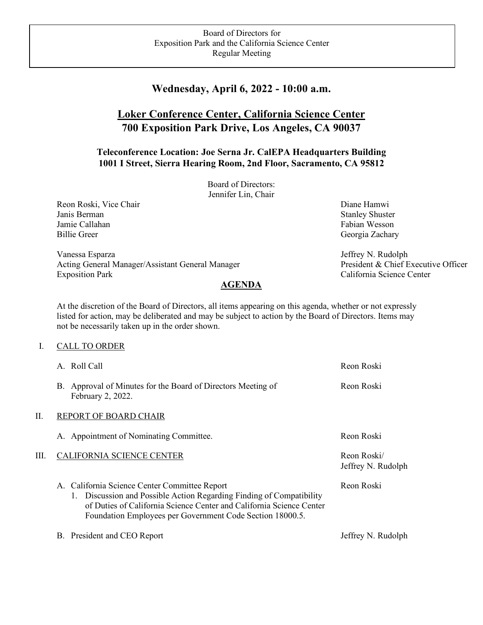## **Wednesday, April 6, 2022 - 10:00 a.m.**

# **Loker Conference Center, California Science Center 700 Exposition Park Drive, Los Angeles, CA 90037**

### **Teleconference Location: Joe Serna Jr. CalEPA Headquarters Building 1001 I Street, Sierra Hearing Room, 2nd Floor, Sacramento, CA 95812**

Board of Directors: Jennifer Lin, Chair

Reon Roski, Vice Chair **Diane Hamwi** Diane Hamwi Diane Hamwi Diane Hamwi Diane Hamwi Diane Hamwi Diane Hamwi Diane Hamwi Diane Hamwi Diane Hamwi Diane Hamwi Diane Hamwi Diane Hamwi Diane Hamwi Diane Hamwi Diane Hamwi Diane Janis Berman Stanley Shuster Shuster Shuster Jamie Callahan Fabian Wesson Fabian Wesson Billie Greer Georgia Zachary

Vanessa Esparza Acting General Manager/Assistant General Manager Exposition Park

#### **AGENDA**

At the discretion of the Board of Directors, all items appearing on this agenda, whether or not expressly listed for action, may be deliberated and may be subject to action by the Board of Directors. Items may not be necessarily taken up in the order shown.

#### I. CALL TO ORDER

|      | A. Roll Call                                                                                                                                                                                                                                               | Reon Roski                        |
|------|------------------------------------------------------------------------------------------------------------------------------------------------------------------------------------------------------------------------------------------------------------|-----------------------------------|
|      | B. Approval of Minutes for the Board of Directors Meeting of<br>February 2, 2022.                                                                                                                                                                          | Reon Roski                        |
| Π.   | REPORT OF BOARD CHAIR                                                                                                                                                                                                                                      |                                   |
|      | A. Appointment of Nominating Committee.                                                                                                                                                                                                                    | Reon Roski                        |
| III. | <b>CALIFORNIA SCIENCE CENTER</b>                                                                                                                                                                                                                           | Reon Roski/<br>Jeffrey N. Rudolph |
|      | A. California Science Center Committee Report<br>1. Discussion and Possible Action Regarding Finding of Compatibility<br>of Duties of California Science Center and California Science Center<br>Foundation Employees per Government Code Section 18000.5. | Reon Roski                        |
|      | B. President and CEO Report                                                                                                                                                                                                                                | Jeffrey N. Rudolph                |

 Jeffrey N. Rudolph President & Chief Executive Officer California Science Center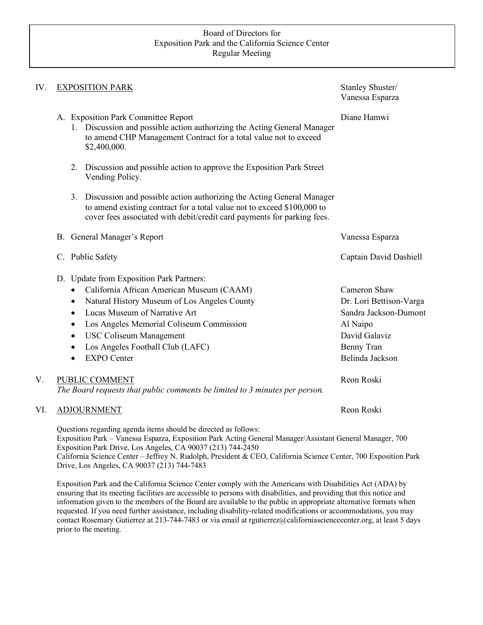#### Board of Directors for Exposition Park and the California Science Center Regular Meeting

| IV. | <b>EXPOSITION PARK</b>                                                                                                                                                                                                                                                                                                | Stanley Shuster/<br>Vanessa Esparza                                                           |
|-----|-----------------------------------------------------------------------------------------------------------------------------------------------------------------------------------------------------------------------------------------------------------------------------------------------------------------------|-----------------------------------------------------------------------------------------------|
|     | A. Exposition Park Committee Report<br>1. Discussion and possible action authorizing the Acting General Manager<br>to amend CHP Management Contract for a total value not to exceed<br>\$2,400,000.                                                                                                                   | Diane Hamwi                                                                                   |
|     | 2. Discussion and possible action to approve the Exposition Park Street<br>Vending Policy.                                                                                                                                                                                                                            |                                                                                               |
|     | 3. Discussion and possible action authorizing the Acting General Manager<br>to amend existing contract for a total value not to exceed \$100,000 to<br>cover fees associated with debit/credit card payments for parking fees.                                                                                        |                                                                                               |
|     | B. General Manager's Report                                                                                                                                                                                                                                                                                           | Vanessa Esparza                                                                               |
|     | C. Public Safety                                                                                                                                                                                                                                                                                                      | Captain David Dashiell                                                                        |
|     | D. Update from Exposition Park Partners:<br>California African American Museum (CAAM)<br>$\bullet$<br>Natural History Museum of Los Angeles County<br>$\bullet$<br>Lucas Museum of Narrative Art<br>$\bullet$<br>Los Angeles Memorial Coliseum Commission<br>$\bullet$<br><b>USC Coliseum Management</b><br>$\bullet$ | Cameron Shaw<br>Dr. Lori Bettison-Varga<br>Sandra Jackson-Dumont<br>Al Naipo<br>David Galaviz |
|     | Los Angeles Football Club (LAFC)<br>$\bullet$<br><b>EXPO</b> Center<br>$\bullet$                                                                                                                                                                                                                                      | Benny Tran<br>Belinda Jackson                                                                 |
| V.  | PUBLIC COMMENT<br>The Board requests that public comments be limited to 3 minutes per person.                                                                                                                                                                                                                         | Reon Roski                                                                                    |
| VI. | <b>ADJOURNMENT</b>                                                                                                                                                                                                                                                                                                    | Reon Roski                                                                                    |
|     | Questions regarding agenda items should be directed as follows:<br>Exposition Park - Vanessa Esparza, Exposition Park Acting General Manager/Assistant General Manager, 700<br>Exposition Park Drive, Los Angeles, CA 90037 (213) 744-2450                                                                            |                                                                                               |

California Science Center – Jeffrey N. Rudolph, President & CEO, California Science Center, 700 Exposition Park Drive, Los Angeles, CA 90037 (213) 744-7483

Exposition Park and the California Science Center comply with the Americans with Disabilities Act (ADA) by ensuring that its meeting facilities are accessible to persons with disabilities, and providing that this notice and information given to the members of the Board are available to the public in appropriate alternative formats when requested. If you need further assistance, including disability-related modifications or accommodations, you may contact Rosemary Gutierrez at 213-744-7483 or via email at rgutierrez@californiasciencecenter.org, at least 5 days prior to the meeting.